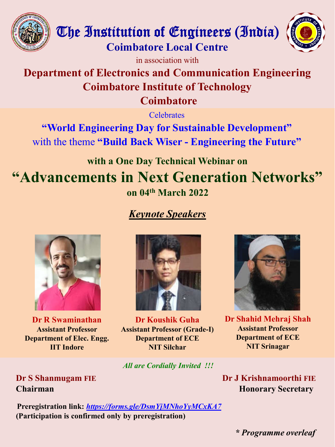





in association with

## **Department of Electronics and Communication Engineering Coimbatore Institute of Technology Coimbatore**

**Celebrates** 

**"World Engineering Day for Sustainable Development"** with the theme **"Build Back Wiser - Engineering the Future"**

# **with a One Day Technical Webinar on ["Advancements in Next Generation Networks"](https://forms.gle/DsmYjMNhoYyMCxKA7) on 04th March 2022**

## *Keynote Speakers*



**Dr R Swaminathan Assistant Professor Department of Elec. Engg. IIT Indore** 



**Dr Koushik Guha Assistant Professor (Grade (Grade-I) Department of ECE NIT Silchar**

*All are Cordially Invited !!!*



**Dr Shahid Mehraj Shah Assistant Professor Department of ECE NIT Srinagar**

**Dr S Shanmugam FIE Chairman**

**Preregistration link:** *https://forms.gle/DsmYjMNhoYyMCxKA gle/DsmYjMNhoYyMCxKA7* **(Participation is confirmed only by preregistration)**

**Dr J Krishnamoorthi FIE Honorary Secretary**

*\* Programme overleaf*